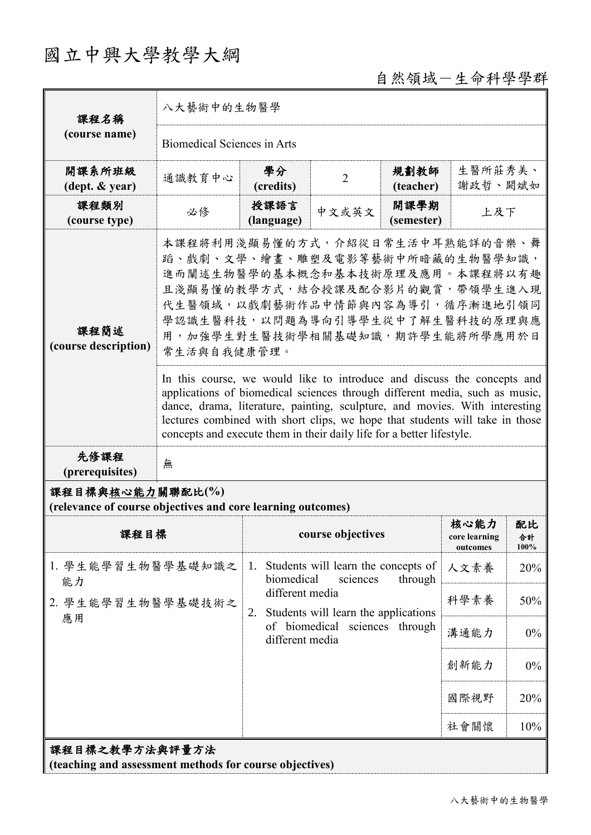# 國立中興大學教學大綱

# 自然領域-生命科學學群

| 課程名稱                                                                            | 八大藝術中的生物醫學                                                                                                                                                                                                                                                                                                                                                                                                                 |                                                   |                                                                                                                                     |                    |                                   |                  |  |
|---------------------------------------------------------------------------------|----------------------------------------------------------------------------------------------------------------------------------------------------------------------------------------------------------------------------------------------------------------------------------------------------------------------------------------------------------------------------------------------------------------------------|---------------------------------------------------|-------------------------------------------------------------------------------------------------------------------------------------|--------------------|-----------------------------------|------------------|--|
| (course name)                                                                   | <b>Biomedical Sciences in Arts</b>                                                                                                                                                                                                                                                                                                                                                                                         |                                                   |                                                                                                                                     |                    |                                   |                  |  |
| 開課系所班級<br>$(\text{dept.} \& \text{ year})$                                      | 通識教育中心                                                                                                                                                                                                                                                                                                                                                                                                                     | 學分<br>(credits)                                   | $\overline{2}$                                                                                                                      | 規劃教師<br>(teacher)  | 生醫所莊秀美、<br>謝政哲、闕斌如                |                  |  |
| 課程類別<br>(course type)                                                           | 必修                                                                                                                                                                                                                                                                                                                                                                                                                         | 授課語言<br>(language)                                | 中文或英文                                                                                                                               | 開課學期<br>(semester) | 上及下                               |                  |  |
| 課程簡述<br>(course description)                                                    | 本課程將利用淺顯易懂的方式,介紹從日常生活中耳熟能詳的音樂、舞<br>蹈、戲劇、文學、繪畫、雕塑及電影等藝術中所暗藏的生物醫學知識,<br>進而闡述生物醫學的基本概念和基本技術原理及應用。本課程將以有趣<br>且淺顯易懂的教學方式,結合授課及配合影片的觀賞,帶領學生進入現<br>代生醫領域,以戲劇藝術作品中情節與內容為導引,循序漸進地引領同<br>學認識生醫科技,以問題為導向引導學生從中了解生醫科技的原理與應<br>用,加強學生對生醫技術學相關基礎知識,期許學生能將所學應用於日<br>常生活與自我健康管理。<br>In this course, we would like to introduce and discuss the concepts and<br>applications of biomedical sciences through different media, such as music, |                                                   |                                                                                                                                     |                    |                                   |                  |  |
|                                                                                 | dance, drama, literature, painting, sculpture, and movies. With interesting<br>lectures combined with short clips, we hope that students will take in those<br>concepts and execute them in their daily life for a better lifestyle.                                                                                                                                                                                       |                                                   |                                                                                                                                     |                    |                                   |                  |  |
| 先修課程<br>(prerequisites)                                                         | 無                                                                                                                                                                                                                                                                                                                                                                                                                          |                                                   |                                                                                                                                     |                    |                                   |                  |  |
| 課程目標與核心能力關聯配比(%)<br>(relevance of course objectives and core learning outcomes) |                                                                                                                                                                                                                                                                                                                                                                                                                            |                                                   |                                                                                                                                     |                    |                                   |                  |  |
| 課程目標                                                                            |                                                                                                                                                                                                                                                                                                                                                                                                                            |                                                   | course objectives                                                                                                                   |                    | 核心能力<br>core learning<br>outcomes | 配比<br>合計<br>100% |  |
| 1. 學生能學習生物醫學基礎知識之<br>能力                                                         |                                                                                                                                                                                                                                                                                                                                                                                                                            | 1.                                                | Students will learn the concepts of<br>biomedical<br>through<br>sciences<br>different media<br>Students will learn the applications |                    | 人文素養                              | 20%              |  |
| 2. 學生能學習生物醫學基礎技術之                                                               |                                                                                                                                                                                                                                                                                                                                                                                                                            | 2.                                                |                                                                                                                                     |                    | 科學素養                              | 50%              |  |
| 應用                                                                              |                                                                                                                                                                                                                                                                                                                                                                                                                            | of biomedical sciences through<br>different media |                                                                                                                                     |                    | 溝通能力                              | $0\%$            |  |
|                                                                                 |                                                                                                                                                                                                                                                                                                                                                                                                                            |                                                   |                                                                                                                                     |                    | 創新能力                              | $0\%$            |  |
|                                                                                 |                                                                                                                                                                                                                                                                                                                                                                                                                            |                                                   |                                                                                                                                     |                    | 國際視野                              | 20%              |  |
| 上址组十山出地三十山                                                                      |                                                                                                                                                                                                                                                                                                                                                                                                                            |                                                   |                                                                                                                                     |                    | 社會關懷                              | 10%              |  |

課程目標之教學方法與評量方法

**(teaching and assessment methods for course objectives)**